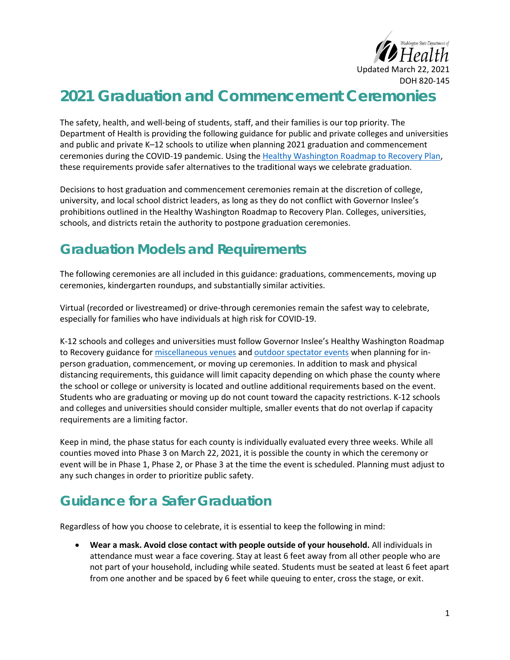

## **2021 Graduation and Commencement Ceremonies**

The safety, health, and well-being of students, staff, and their families is our top priority. The Department of Health is providing the following guidance for public and private colleges and universities and public and private K–12 schools to utilize when planning 2021 graduation and commencement ceremonies during the COVID-19 pandemic. Using the [Healthy Washington Roadmap to Recovery Plan,](https://www.governor.wa.gov/sites/default/files/HealthyWashington.pdf) these requirements provide safer alternatives to the traditional ways we celebrate graduation.

Decisions to host graduation and commencement ceremonies remain at the discretion of college, university, and local school district leaders, as long as they do not conflict with Governor Inslee's prohibitions outlined in the Healthy Washington Roadmap to Recovery Plan. Colleges, universities, schools, and districts retain the authority to postpone graduation ceremonies.

## **Graduation Models and Requirements**

The following ceremonies are all included in this guidance: graduations, commencements, moving up ceremonies, kindergarten roundups, and substantially similar activities.

Virtual (recorded or livestreamed) or drive-through ceremonies remain the safest way to celebrate, especially for families who have individuals at high risk for COVID-19.

K-12 schools and colleges and universities must follow Governor Inslee's Healthy Washington Roadmap to Recovery guidance for [miscellaneous](https://www.governor.wa.gov/sites/default/files/COVID19%20Misc%20Venue%20Guidance.pdf) venues and [outdoor spectator events](https://www.governor.wa.gov/sites/default/files/COVID19%20Spectator%20Event%20Guidance.pdf) when planning for inperson graduation, commencement, or moving up ceremonies. In addition to mask and physical distancing requirements, this guidance will limit capacity depending on which phase the county where the school or college or university is located and outline additional requirements based on the event. Students who are graduating or moving up do not count toward the capacity restrictions. K-12 schools and colleges and universities should consider multiple, smaller events that do not overlap if capacity requirements are a limiting factor.

Keep in mind, the phase status for each county is individually evaluated every three weeks. While all counties moved into Phase 3 on March 22, 2021, it is possible the county in which the ceremony or event will be in Phase 1, Phase 2, or Phase 3 at the time the event is scheduled. Planning must adjust to any such changes in order to prioritize public safety.

## **Guidance for a Safer Graduation**

Regardless of how you choose to celebrate, it is essential to keep the following in mind:

• **Wear a mask. Avoid close contact with people outside of your household.** All individuals in attendance must wear a face covering. Stay at least 6 feet away from all other people who are not part of your household, including while seated. Students must be seated at least 6 feet apart from one another and be spaced by 6 feet while queuing to enter, cross the stage, or exit.